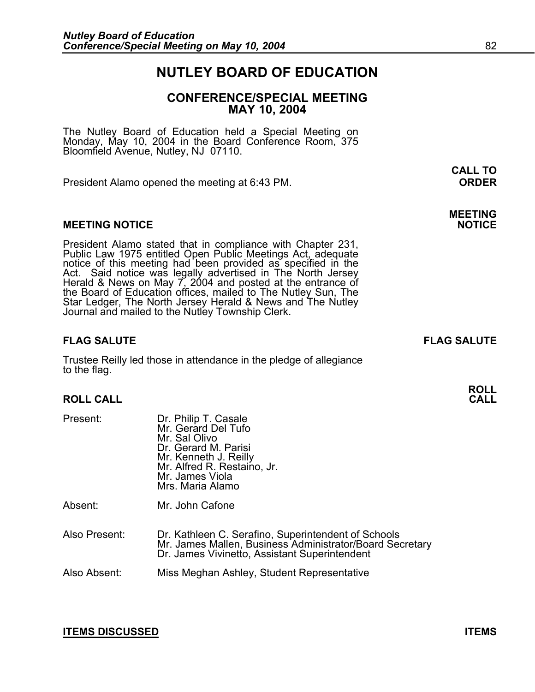# **NUTLEY BOARD OF EDUCATION**

# **CONFERENCE/SPECIAL MEETING MAY 10, 2004**

**CALL TO** 

The Nutley Board of Education held a Special Meeting on Monday, May 10, 2004 in the Board Conference Room, 375 Bloomfield Avenue, Nutley, NJ 07110.

President Alamo opened the meeting at 6:43 PM. **ORDER**

## **MEETING NOTICE**

President Alamo stated that in compliance with Chapter 231,<br>Public Law 1975 entitled Open Public Meetings Act, adequate<br>notice of this meeting had been provided as specified in the<br>Act. Said notice was legally advertised i the Board of Education offices, mailed to The Nutley Sun, The Star Ledger, The North Jersey Herald & News and The Nutley Journal and mailed to the Nutley Township Clerk.

# **FLAG SALUTE FLAG SALUTE**

Trustee Reilly led those in attendance in the pledge of allegiance to the flag.

## **ROLL CALL**

| Present:      | Dr. Philip T. Casale<br>Mr. Gerard Del Tufo<br>Mr. Sal Olivo<br>Dr. Gerard M. Parisi<br>Mr. Kenneth J. Reilly<br>Mr. Alfred R. Restaino, Jr.<br>Mr. James Viola<br>Mrs. Maria Alamo |
|---------------|-------------------------------------------------------------------------------------------------------------------------------------------------------------------------------------|
| Absent:       | Mr. John Cafone                                                                                                                                                                     |
| Also Present: | Dr. Kathleen C. Serafino, Superintendent of Schools<br>Mr. James Mallen, Business Administrator/Board Secretary<br>Dr. James Vivinetto, Assistant Superintendent                    |
|               |                                                                                                                                                                                     |

Also Absent: Miss Meghan Ashley, Student Representative

## **ITEMS DISCUSSED ITEMS**

**MEETING** 

**ROLL**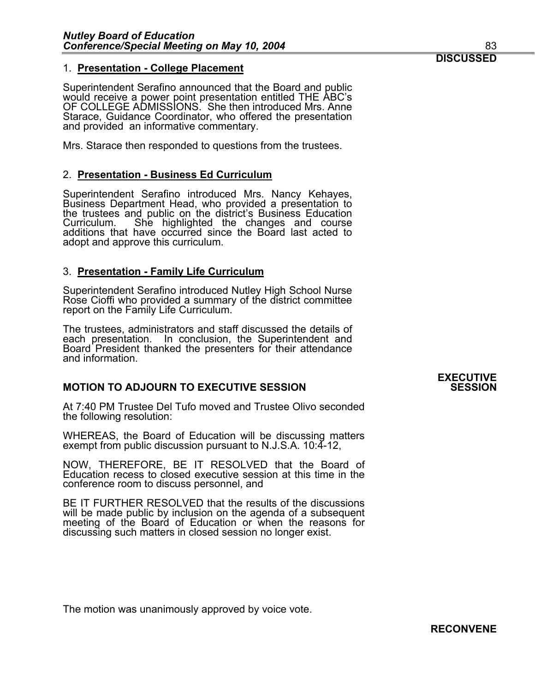# 1. **Presentation - College Placement**

Superintendent Serafino announced that the Board and public would receive a power point presentation entitled THE ABC's OF COLLEGE ADMISSIONS. She then introduced Mrs. Anne Starace, Guidance Coordinator, who offered the presentation and provided an informative commentary.

Mrs. Starace then responded to questions from the trustees.

# 2. **Presentation - Business Ed Curriculum**

Superintendent Serafino introduced Mrs. Nancy Kehayes, Business Department Head, who provided a presentation to the trustees and public on the district's Business Education Curriculum. She highlighted the changes and course additions that have occurred since the Board last acted to adopt and approve this curriculum.

# 3. **Presentation - Family Life Curriculum**

Superintendent Serafino introduced Nutley High School Nurse Rose Cioffi who provided a summary of the district committee report on the Family Life Curriculum.

The trustees, administrators and staff discussed the details of each presentation. In conclusion, the Superintendent and Board President thanked the presenters for their attendance and information.

# **MOTION TO ADJOURN TO EXECUTIVE SESSION SESSION**

At 7:40 PM Trustee Del Tufo moved and Trustee Olivo seconded the following resolution:

WHEREAS, the Board of Education will be discussing matters exempt from public discussion pursuant to N.J.S.A. 10:4-12,

NOW, THEREFORE, BE IT RESOLVED that the Board of Education recess to closed executive session at this time in the conference room to discuss personnel, and

BE IT FURTHER RESOLVED that the results of the discussions will be made public by inclusion on the agenda of a subsequent meeting of the Board of Education or when the reasons for discussing such matters in closed session no longer exist.

 The motion was unanimously approved by voice vote.

# **EXECUTIVE**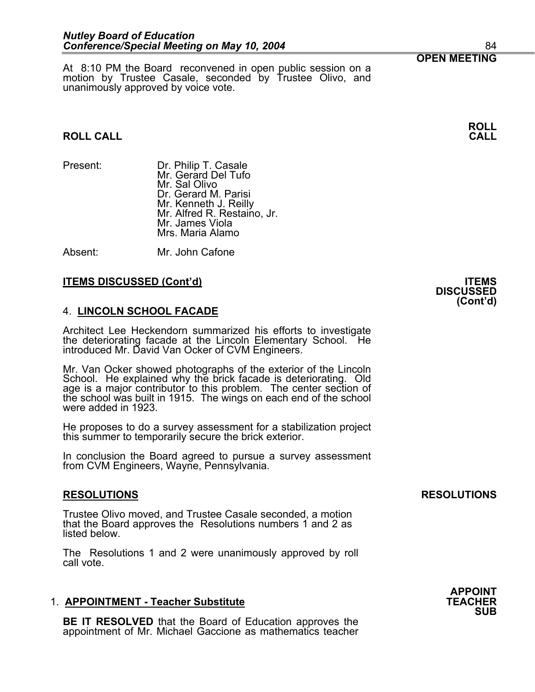**OPEN MEETING**<br>At 8:10 PM the Board reconvened in open public session on a motion by Trustee Casale, seconded by Trustee Olivo, and unanimously approved by voice vote.

# **ROLL CALL CALL**

- 
- Present: Dr. Philip T. Casale Mr. Gerard Del Tufo Mr. Sal Olivo Dr. Gerard M. Parisi<br>Mr. Kenneth J. Reilly Mr. Alfred R. Restaino, Jr. Mr. James Viola Mrs. Maria Alamo

Absent: Mr. John Cafone

# **ITEMS DISCUSSED (Cont'd) ITEMS**

# 4. **LINCOLN SCHOOL FACADE**

Architect Lee Heckendorn summarized his efforts to investigate the deteriorating facade at the Lincoln Elementary School. He introduced Mr. David Van Ocker of CVM Engineers.

Mr. Van Ocker showed photographs of the exterior of the Lincoln School. He explained why the brick facade is deteriorating. Old age is a major contributor to this problem. The center section of the school was built in 1915. The wings on each end of the school were added in 1923.

He proposes to do a survey assessment for a stabilization project this summer to temporarily secure the brick exterior.

In conclusion the Board agreed to pursue a survey assessment from CVM Engineers, Wayne, Pennsylvania.

# **RESOLUTIONS RESOLUTIONS**

Trustee Olivo moved, and Trustee Casale seconded, a motion that the Board approves the Resolutions numbers 1 and 2 as listed below.

The Resolutions 1 and 2 were unanimously approved by roll call vote.

# 1. **APPOINTMENT - Teacher Substitute**

**BE IT RESOLVED** that the Board of Education approves the appointment of Mr. Michael Gaccione as mathematics teacher

# **DISCUSSED (Cont'd)**

**APPOINT SUB**